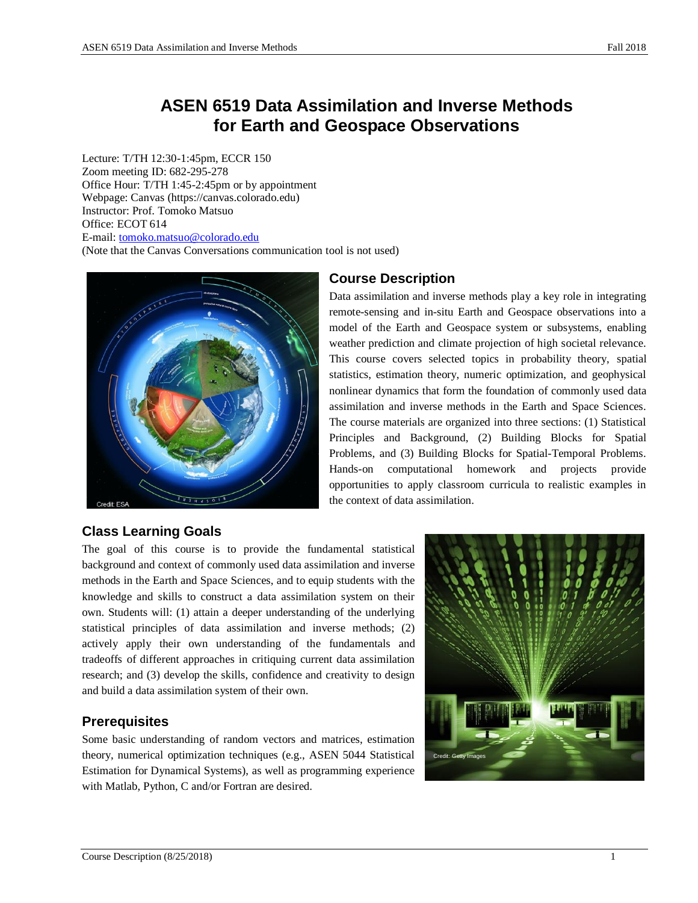# **ASEN 6519 Data Assimilation and Inverse Methods for Earth and Geospace Observations**

Lecture: T/TH 12:30-1:45pm, ECCR 150 Zoom meeting ID: 682-295-278 Office Hour: T/TH 1:45-2:45pm or by appointment Webpage: Canvas (https://canvas.colorado.edu) Instructor: Prof. Tomoko Matsuo Office: ECOT 614 E-mail: [tomoko.matsuo@colorado.edu](mailto:tomoko.matsuo@colorado.edu) (Note that the Canvas Conversations communication tool is not used)



## **Course Description**

Data assimilation and inverse methods play a key role in integrating remote-sensing and in-situ Earth and Geospace observations into a model of the Earth and Geospace system or subsystems, enabling weather prediction and climate projection of high societal relevance. This course covers selected topics in probability theory, spatial statistics, estimation theory, numeric optimization, and geophysical nonlinear dynamics that form the foundation of commonly used data assimilation and inverse methods in the Earth and Space Sciences. The course materials are organized into three sections: (1) Statistical Principles and Background, (2) Building Blocks for Spatial Problems, and (3) Building Blocks for Spatial-Temporal Problems. Hands-on computational homework and projects provide opportunities to apply classroom curricula to realistic examples in the context of data assimilation.

## **Class Learning Goals**

The goal of this course is to provide the fundamental statistical background and context of commonly used data assimilation and inverse methods in the Earth and Space Sciences, and to equip students with the knowledge and skills to construct a data assimilation system on their own. Students will: (1) attain a deeper understanding of the underlying statistical principles of data assimilation and inverse methods; (2) actively apply their own understanding of the fundamentals and tradeoffs of different approaches in critiquing current data assimilation research; and (3) develop the skills, confidence and creativity to design and build a data assimilation system of their own.

## **Prerequisites**

Some basic understanding of random vectors and matrices, estimation theory, numerical optimization techniques (e.g., ASEN 5044 Statistical Estimation for Dynamical Systems), as well as programming experience with Matlab, Python, C and/or Fortran are desired.

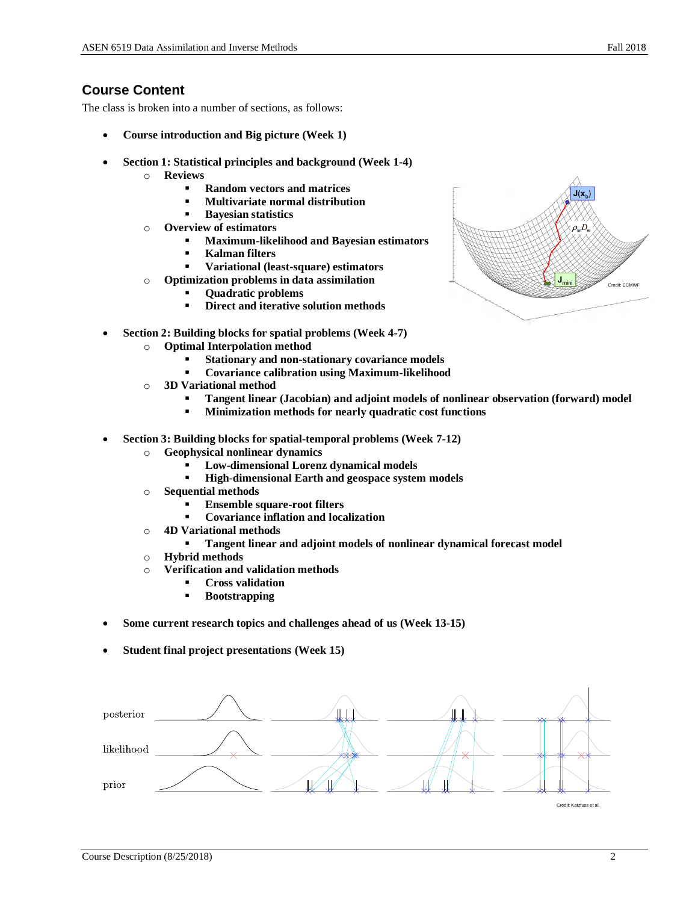### **Course Content**

The class is broken into a number of sections, as follows:

- **Course introduction and Big picture (Week 1)**
- **Section 1: Statistical principles and background (Week 1-4)**
	- o **Reviews**
		- **Random vectors and matrices**
		- **Multivariate normal distribution**
		- **Bayesian statistics**
	- o **Overview of estimators**
		- **Maximum-likelihood and Bayesian estimators**
		- **Kalman filters**
		- **Variational (least-square) estimators**
	- o **Optimization problems in data assimilation**
		- **Quadratic problems**
			- **Direct and iterative solution methods**
- **Section 2: Building blocks for spatial problems (Week 4-7)**
	- o **Optimal Interpolation method**
		- **Stationary and non-stationary covariance models**
		- **Covariance calibration using Maximum-likelihood**
	- o **3D Variational method**
		- **Tangent linear (Jacobian) and adjoint models of nonlinear observation (forward) model**
		- **Minimization methods for nearly quadratic cost functions**
- **Section 3: Building blocks for spatial-temporal problems (Week 7-12)**
	- o **Geophysical nonlinear dynamics** 
		- Low-dimensional Lorenz dynamical models
		- **High-dimensional Earth and geospace system models**
	- o **Sequential methods**
		- **Ensemble square-root filters**
		- **Covariance inflation and localization**
	- o **4D Variational methods**
		- **Tangent linear and adjoint models of nonlinear dynamical forecast model**
	- o **Hybrid methods**
	- o **Verification and validation methods**
		- **Cross validation**
		- **Bootstrapping**
- **Some current research topics and challenges ahead of us (Week 13-15)**
- **Student final project presentations (Week 15)**



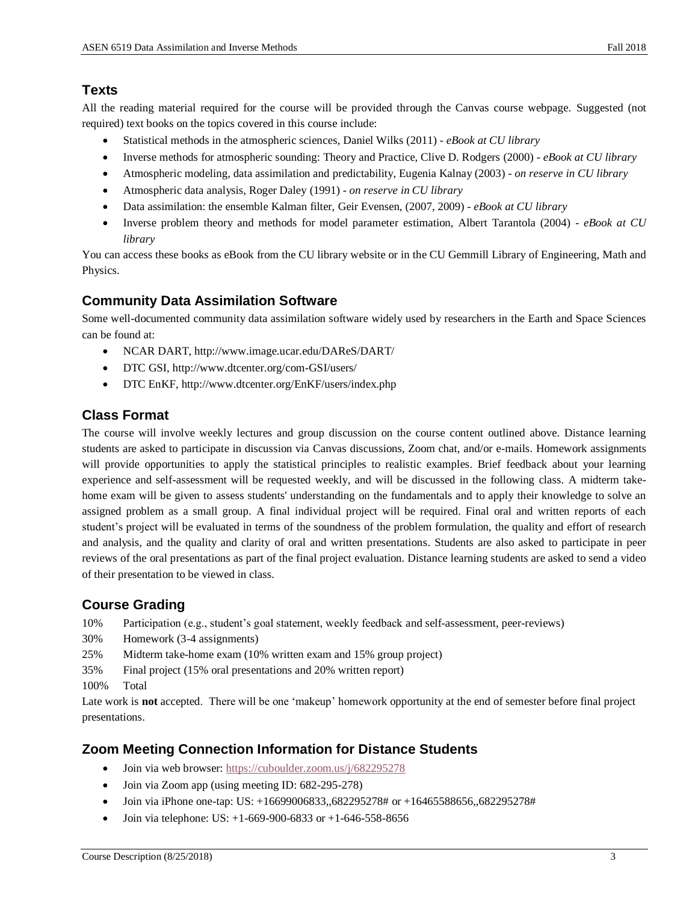## **Texts**

All the reading material required for the course will be provided through the Canvas course webpage. Suggested (not required) text books on the topics covered in this course include:

- Statistical methods in the atmospheric sciences, Daniel Wilks (2011) *- eBook at CU library*
- Inverse methods for atmospheric sounding: Theory and Practice, Clive D. Rodgers (2000) *- eBook at CU library*
- Atmospheric modeling, data assimilation and predictability, Eugenia Kalnay (2003) *on reserve in CU library*
- Atmospheric data analysis, Roger Daley (1991) *on reserve in CU library*
- Data assimilation: the ensemble Kalman filter, Geir Evensen, (2007, 2009) *- eBook at CU library*
- Inverse problem theory and methods for model parameter estimation, Albert Tarantola (2004) *- eBook at CU library*

You can access these books as eBook from the CU library website or in the CU Gemmill Library of Engineering, Math and Physics.

## **Community Data Assimilation Software**

Some well-documented community data assimilation software widely used by researchers in the Earth and Space Sciences can be found at:

- NCAR DART, http://www.image.ucar.edu/DAReS/DART/
- DTC GSI, http://www.dtcenter.org/com-GSI/users/
- DTC EnKF, http://www.dtcenter.org/EnKF/users/index.php

### **Class Format**

The course will involve weekly lectures and group discussion on the course content outlined above. Distance learning students are asked to participate in discussion via Canvas discussions, Zoom chat, and/or e-mails. Homework assignments will provide opportunities to apply the statistical principles to realistic examples. Brief feedback about your learning experience and self-assessment will be requested weekly, and will be discussed in the following class. A midterm takehome exam will be given to assess students' understanding on the fundamentals and to apply their knowledge to solve an assigned problem as a small group. A final individual project will be required. Final oral and written reports of each student's project will be evaluated in terms of the soundness of the problem formulation, the quality and effort of research and analysis, and the quality and clarity of oral and written presentations. Students are also asked to participate in peer reviews of the oral presentations as part of the final project evaluation. Distance learning students are asked to send a video of their presentation to be viewed in class.

## **Course Grading**

- 10% Participation (e.g., student's goal statement, weekly feedback and self-assessment, peer-reviews)
- 30% Homework (3-4 assignments)
- 25% Midterm take-home exam (10% written exam and 15% group project)
- 35% Final project (15% oral presentations and 20% written report)
- 100% Total

Late work is **not** accepted. There will be one 'makeup' homework opportunity at the end of semester before final project presentations.

### **Zoom Meeting Connection Information for Distance Students**

- Join via web browser: <https://cuboulder.zoom.us/j/682295278>
- Join via Zoom app (using meeting ID: 682-295-278)
- Join via iPhone one-tap: US: +16699006833,,682295278# or +16465588656,,682295278#
- Join via telephone: US: +1-669-900-6833 or +1-646-558-8656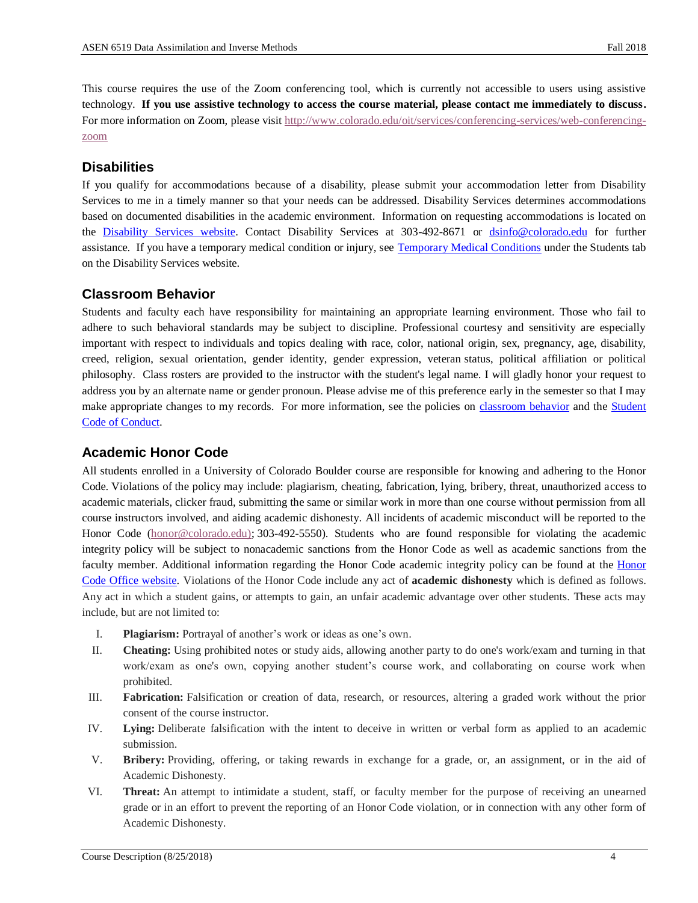This course requires the use of the Zoom conferencing tool, which is currently not accessible to users using assistive technology. **If you use assistive technology to access the course material, please contact me immediately to discuss.** For more information on Zoom, please visit [http://www.colorado.edu/oit/services/conferencing-services/web-conferencing](http://www.colorado.edu/oit/services/conferencing-services/web-conferencing-zoom)[zoom](http://www.colorado.edu/oit/services/conferencing-services/web-conferencing-zoom)

#### **Disabilities**

If you qualify for accommodations because of a disability, please submit your accommodation letter from Disability Services to me in a timely manner so that your needs can be addressed. Disability Services determines accommodations based on documented disabilities in the academic environment. Information on requesting accommodations is located on the [Disability Services website.](http://www.colorado.edu/disabilityservices/students) Contact Disability Services at 303-492-8671 or [dsinfo@colorado.edu](mailto:dsinfo@colorado.edu) for further assistance. If you have a temporary medical condition or injury, see [Temporary Medical Conditions](http://www.colorado.edu/disabilityservices/students/temporary-medical-conditions) under the Students tab on the Disability Services website.

#### **Classroom Behavior**

Students and faculty each have responsibility for maintaining an appropriate learning environment. Those who fail to adhere to such behavioral standards may be subject to discipline. Professional courtesy and sensitivity are especially important with respect to individuals and topics dealing with race, color, national origin, sex, pregnancy, age, disability, creed, religion, sexual orientation, gender identity, gender expression, veteran status, political affiliation or political philosophy. Class rosters are provided to the instructor with the student's legal name. I will gladly honor your request to address you by an alternate name or gender pronoun. Please advise me of this preference early in the semester so that I may make appropriate changes to my records. For more information, see the policies on [classroom](http://www.colorado.edu/policies/student-classroom-and-course-related-behavior) behavior and the Student [Code of Conduct.](http://www.colorado.edu/osccr/)

#### **Academic Honor Code**

All students enrolled in a University of Colorado Boulder course are responsible for knowing and adhering to the Honor Code. Violations of the policy may include: plagiarism, cheating, fabrication, lying, bribery, threat, unauthorized access to academic materials, clicker fraud, submitting the same or similar work in more than one course without permission from all course instructors involved, and aiding academic dishonesty. All incidents of academic misconduct will be reported to the Honor Code [\(honor@colorado.edu\)](mailto:honor@colorado.edu); 303-492-5550). Students who are found responsible for violating the academic integrity policy will be subject to nonacademic sanctions from the Honor Code as well as academic sanctions from the faculty member. Additional information regarding the Honor Code academic integrity policy can be found at the [Honor](https://www.colorado.edu/osccr/honor-code)  [Code Office website.](https://www.colorado.edu/osccr/honor-code) Violations of the Honor Code include any act of **academic dishonesty** which is defined as follows. Any act in which a student gains, or attempts to gain, an unfair academic advantage over other students. These acts may include, but are not limited to:

- I. **Plagiarism:** Portrayal of another's work or ideas as one's own.
- II. **Cheating:** Using prohibited notes or study aids, allowing another party to do one's work/exam and turning in that work/exam as one's own, copying another student's course work, and collaborating on course work when prohibited.
- III. **Fabrication:** Falsification or creation of data, research, or resources, altering a graded work without the prior consent of the course instructor.
- IV. **Lying:** Deliberate falsification with the intent to deceive in written or verbal form as applied to an academic submission.
- V. **Bribery:** Providing, offering, or taking rewards in exchange for a grade, or, an assignment, or in the aid of Academic Dishonesty.
- VI. **Threat:** An attempt to intimidate a student, staff, or faculty member for the purpose of receiving an unearned grade or in an effort to prevent the reporting of an Honor Code violation, or in connection with any other form of Academic Dishonesty.